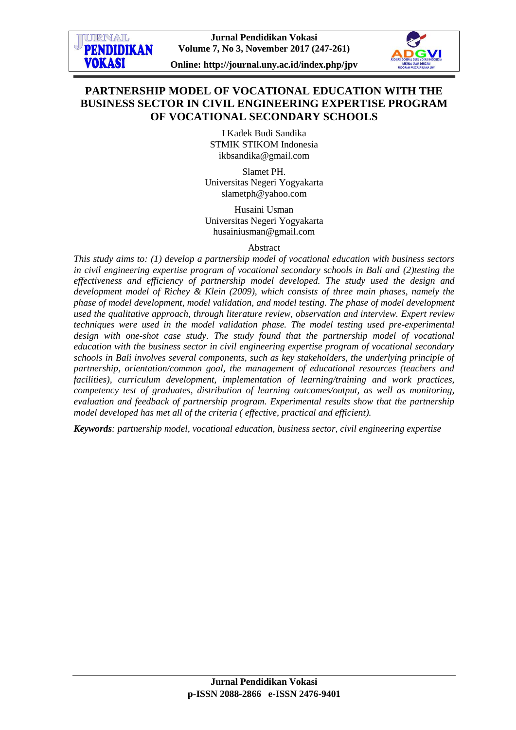# **PARTNERSHIP MODEL OF VOCATIONAL EDUCATION WITH THE BUSINESS SECTOR IN CIVIL ENGINEERING EXPERTISE PROGRAM OF VOCATIONAL SECONDARY SCHOOLS**

I Kadek Budi Sandika STMIK STIKOM Indonesia ikbsandika@gmail.com

Slamet PH. Universitas Negeri Yogyakarta slametph@yahoo.com

Husaini Usman Universitas Negeri Yogyakarta husainiusman@gmail.com

### Abstract

*This study aims to: (1) develop a partnership model of vocational education with business sectors in civil engineering expertise program of vocational secondary schools in Bali and (2)testing the effectiveness and efficiency of partnership model developed. The study used the design and development model of Richey & Klein (2009), which consists of three main phases, namely the phase of model development, model validation, and model testing. The phase of model development used the qualitative approach, through literature review, observation and interview. Expert review techniques were used in the model validation phase. The model testing used pre-experimental design with one-shot case study. The study found that the partnership model of vocational education with the business sector in civil engineering expertise program of vocational secondary schools in Bali involves several components, such as key stakeholders, the underlying principle of partnership, orientation/common goal, the management of educational resources (teachers and facilities), curriculum development, implementation of learning/training and work practices, competency test of graduates, distribution of learning outcomes/output, as well as monitoring, evaluation and feedback of partnership program. Experimental results show that the partnership model developed has met all of the criteria ( effective, practical and efficient).*

*Keywords: partnership model, vocational education, business sector, civil engineering expertise*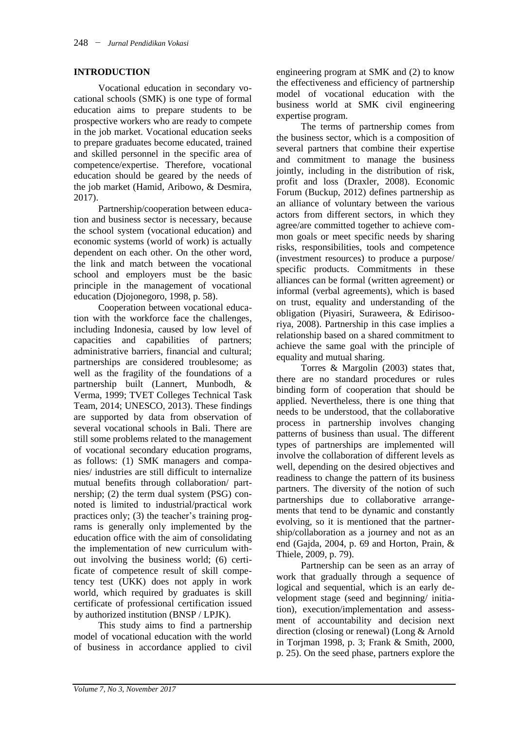## **INTRODUCTION**

Vocational education in secondary vocational schools (SMK) is one type of formal education aims to prepare students to be prospective workers who are ready to compete in the job market. Vocational education seeks to prepare graduates become educated, trained and skilled personnel in the specific area of competence/expertise. Therefore, vocational education should be geared by the needs of the job market (Hamid, Aribowo, & Desmira, 2017).

Partnership/cooperation between education and business sector is necessary, because the school system (vocational education) and economic systems (world of work) is actually dependent on each other. On the other word, the link and match between the vocational school and employers must be the basic principle in the management of vocational education (Djojonegoro, 1998, p. 58).

Cooperation between vocational education with the workforce face the challenges, including Indonesia, caused by low level of capacities and capabilities of partners; administrative barriers, financial and cultural; partnerships are considered troublesome; as well as the fragility of the foundations of a partnership built (Lannert, Munbodh, & Verma, 1999; TVET Colleges Technical Task Team, 2014; UNESCO, 2013). These findings are supported by data from observation of several vocational schools in Bali. There are still some problems related to the management of vocational secondary education programs, as follows: (1) SMK managers and companies/ industries are still difficult to internalize mutual benefits through collaboration/ partnership; (2) the term dual system (PSG) connoted is limited to industrial/practical work practices only; (3) the teacher's training programs is generally only implemented by the education office with the aim of consolidating the implementation of new curriculum without involving the business world; (6) certificate of competence result of skill competency test (UKK) does not apply in work world, which required by graduates is skill certificate of professional certification issued by authorized institution (BNSP / LPJK).

This study aims to find a partnership model of vocational education with the world of business in accordance applied to civil

engineering program at SMK and (2) to know the effectiveness and efficiency of partnership model of vocational education with the business world at SMK civil engineering expertise program.

The terms of partnership comes from the business sector, which is a composition of several partners that combine their expertise and commitment to manage the business jointly, including in the distribution of risk, profit and loss (Draxler, 2008). Economic Forum (Buckup, 2012) defines partnership as an alliance of voluntary between the various actors from different sectors, in which they agree/are committed together to achieve common goals or meet specific needs by sharing risks, responsibilities, tools and competence (investment resources) to produce a purpose/ specific products. Commitments in these alliances can be formal (written agreement) or informal (verbal agreements), which is based on trust, equality and understanding of the obligation (Piyasiri, Suraweera, & Edirisooriya, 2008). Partnership in this case implies a relationship based on a shared commitment to achieve the same goal with the principle of equality and mutual sharing.

Torres & Margolin (2003) states that, there are no standard procedures or rules binding form of cooperation that should be applied. Nevertheless, there is one thing that needs to be understood, that the collaborative process in partnership involves changing patterns of business than usual. The different types of partnerships are implemented will involve the collaboration of different levels as well, depending on the desired objectives and readiness to change the pattern of its business partners. The diversity of the notion of such partnerships due to collaborative arrangements that tend to be dynamic and constantly evolving, so it is mentioned that the partnership/collaboration as a journey and not as an end (Gajda, 2004, p. 69 and Horton, Prain, & Thiele, 2009, p. 79).

Partnership can be seen as an array of work that gradually through a sequence of logical and sequential, which is an early development stage (seed and beginning/ initiation), execution/implementation and assessment of accountability and decision next direction (closing or renewal) (Long & Arnold in Torjman 1998, p. 3; Frank & Smith, 2000, p. 25). On the seed phase, partners explore the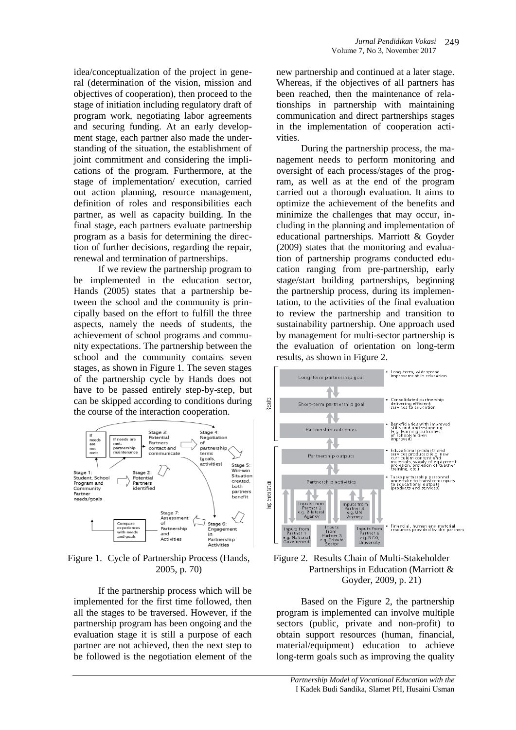idea/conceptualization of the project in general (determination of the vision, mission and objectives of cooperation), then proceed to the stage of initiation including regulatory draft of program work, negotiating labor agreements and securing funding. At an early development stage, each partner also made the understanding of the situation, the establishment of joint commitment and considering the implications of the program. Furthermore, at the stage of implementation/ execution, carried out action planning, resource management, definition of roles and responsibilities each partner, as well as capacity building. In the final stage, each partners evaluate partnership program as a basis for determining the direction of further decisions, regarding the repair, renewal and termination of partnerships.

If we review the partnership program to be implemented in the education sector, Hands (2005) states that a partnership between the school and the community is principally based on the effort to fulfill the three aspects, namely the needs of students, the achievement of school programs and community expectations. The partnership between the school and the community contains seven stages, as shown in Figure 1. The seven stages of the partnership cycle by Hands does not have to be passed entirely step-by-step, but can be skipped according to conditions during the course of the interaction cooperation.



Figure 1. Cycle of Partnership Process (Hands, 2005, p. 70)

If the partnership process which will be implemented for the first time followed, then all the stages to be traversed. However, if the partnership program has been ongoing and the evaluation stage it is still a purpose of each partner are not achieved, then the next step to be followed is the negotiation element of the new partnership and continued at a later stage. Whereas, if the objectives of all partners has been reached, then the maintenance of relationships in partnership with maintaining communication and direct partnerships stages in the implementation of cooperation activities.

During the partnership process, the management needs to perform monitoring and oversight of each process/stages of the program, as well as at the end of the program carried out a thorough evaluation. It aims to optimize the achievement of the benefits and minimize the challenges that may occur, including in the planning and implementation of educational partnerships. Marriott & Goyder (2009) states that the monitoring and evaluation of partnership programs conducted education ranging from pre-partnership, early stage/start building partnerships, beginning the partnership process, during its implementation, to the activities of the final evaluation to review the partnership and transition to sustainability partnership. One approach used by management for multi-sector partnership is the evaluation of orientation on long-term results, as shown in Figure 2.





Based on the Figure 2, the partnership program is implemented can involve multiple sectors (public, private and non-profit) to obtain support resources (human, financial, material/equipment) education to achieve long-term goals such as improving the quality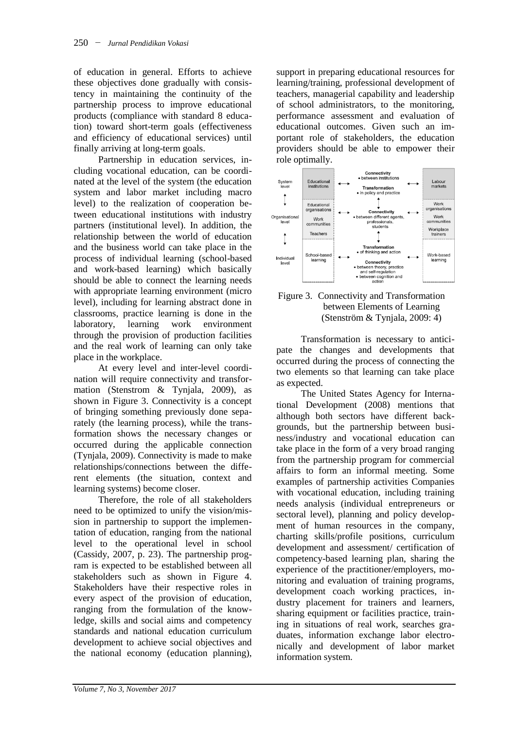of education in general. Efforts to achieve these objectives done gradually with consistency in maintaining the continuity of the partnership process to improve educational products (compliance with standard 8 education) toward short-term goals (effectiveness and efficiency of educational services) until finally arriving at long-term goals.

Partnership in education services, including vocational education, can be coordinated at the level of the system (the education system and labor market including macro level) to the realization of cooperation between educational institutions with industry partners (institutional level). In addition, the relationship between the world of education and the business world can take place in the process of individual learning (school-based and work-based learning) which basically should be able to connect the learning needs with appropriate learning environment (micro level), including for learning abstract done in classrooms, practice learning is done in the laboratory, learning work environment through the provision of production facilities and the real work of learning can only take place in the workplace.

At every level and inter-level coordination will require connectivity and transformation (Stenstrom & Tynjala, 2009), as shown in Figure 3. Connectivity is a concept of bringing something previously done separately (the learning process), while the transformation shows the necessary changes or occurred during the applicable connection (Tynjala, 2009). Connectivity is made to make relationships/connections between the different elements (the situation, context and learning systems) become closer.

Therefore, the role of all stakeholders need to be optimized to unify the vision/mission in partnership to support the implementation of education, ranging from the national level to the operational level in school (Cassidy, 2007, p. 23). The partnership program is expected to be established between all stakeholders such as shown in Figure 4. Stakeholders have their respective roles in every aspect of the provision of education, ranging from the formulation of the knowledge, skills and social aims and competency standards and national education curriculum development to achieve social objectives and the national economy (education planning),

support in preparing educational resources for learning/training, professional development of teachers, managerial capability and leadership of school administrators, to the monitoring, performance assessment and evaluation of educational outcomes. Given such an important role of stakeholders, the education providers should be able to empower their role optimally.



## Figure 3. Connectivity and Transformation between Elements of Learning (Stenström & Tynjala, 2009: 4)

Transformation is necessary to anticipate the changes and developments that occurred during the process of connecting the two elements so that learning can take place as expected.

The United States Agency for International Development (2008) mentions that although both sectors have different backgrounds, but the partnership between business/industry and vocational education can take place in the form of a very broad ranging from the partnership program for commercial affairs to form an informal meeting. Some examples of partnership activities Companies with vocational education, including training needs analysis (individual entrepreneurs or sectoral level), planning and policy development of human resources in the company, charting skills/profile positions, curriculum development and assessment/ certification of competency-based learning plan, sharing the experience of the practitioner/employers, monitoring and evaluation of training programs, development coach working practices, industry placement for trainers and learners, sharing equipment or facilities practice, training in situations of real work, searches graduates, information exchange labor electronically and development of labor market information system.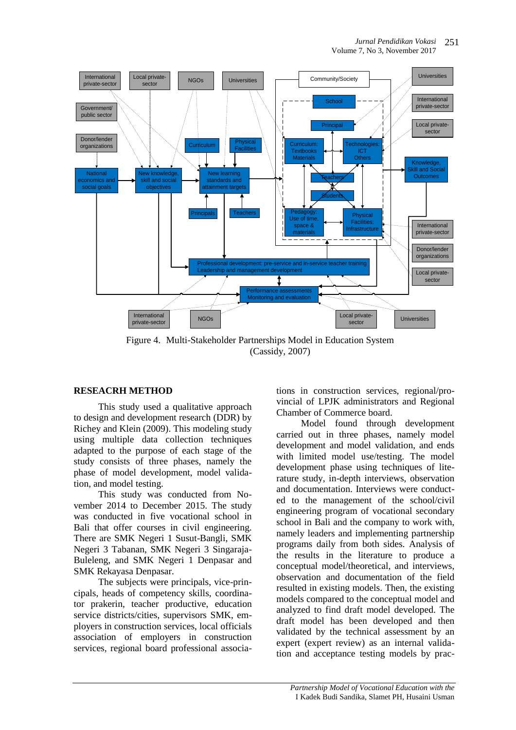

Figure 4. Multi-Stakeholder Partnerships Model in Education System (Cassidy, 2007)

## **RESEACRH METHOD**

This study used a qualitative approach to design and development research (DDR) by Richey and Klein (2009). This modeling study using multiple data collection techniques adapted to the purpose of each stage of the study consists of three phases, namely the phase of model development, model validation, and model testing.

This study was conducted from November 2014 to December 2015. The study was conducted in five vocational school in Bali that offer courses in civil engineering. There are SMK Negeri 1 Susut-Bangli, SMK Negeri 3 Tabanan, SMK Negeri 3 Singaraja-Buleleng, and SMK Negeri 1 Denpasar and SMK Rekayasa Denpasar.

The subjects were principals, vice-principals, heads of competency skills, coordinator prakerin, teacher productive, education service districts/cities, supervisors SMK, employers in construction services, local officials association of employers in construction services, regional board professional associations in construction services, regional/provincial of LPJK administrators and Regional Chamber of Commerce board.

Model found through development carried out in three phases, namely model development and model validation, and ends with limited model use/testing. The model development phase using techniques of literature study, in-depth interviews, observation and documentation. Interviews were conducted to the management of the school/civil engineering program of vocational secondary school in Bali and the company to work with, namely leaders and implementing partnership programs daily from both sides. Analysis of the results in the literature to produce a conceptual model/theoretical, and interviews, observation and documentation of the field resulted in existing models. Then, the existing models compared to the conceptual model and analyzed to find draft model developed. The draft model has been developed and then validated by the technical assessment by an expert (expert review) as an internal validation and acceptance testing models by prac-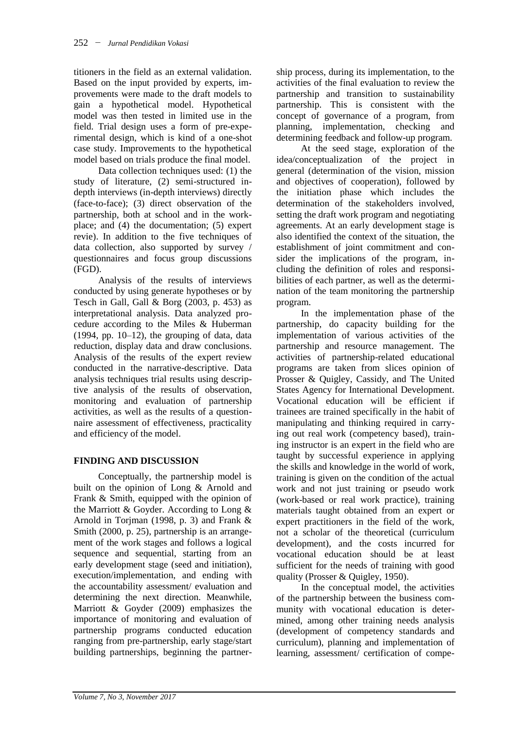titioners in the field as an external validation. Based on the input provided by experts, improvements were made to the draft models to gain a hypothetical model. Hypothetical model was then tested in limited use in the field. Trial design uses a form of pre-experimental design, which is kind of a one-shot case study. Improvements to the hypothetical model based on trials produce the final model.

Data collection techniques used: (1) the study of literature, (2) semi-structured indepth interviews (in-depth interviews) directly (face-to-face); (3) direct observation of the partnership, both at school and in the workplace; and (4) the documentation; (5) expert revie). In addition to the five techniques of data collection, also supported by survey / questionnaires and focus group discussions (FGD).

Analysis of the results of interviews conducted by using generate hypotheses or by Tesch in Gall, Gall & Borg (2003, p. 453) as interpretational analysis. Data analyzed procedure according to the Miles & Huberman  $(1994, pp. 10-12)$ , the grouping of data, data reduction, display data and draw conclusions. Analysis of the results of the expert review conducted in the narrative-descriptive. Data analysis techniques trial results using descriptive analysis of the results of observation, monitoring and evaluation of partnership activities, as well as the results of a questionnaire assessment of effectiveness, practicality and efficiency of the model.

# **FINDING AND DISCUSSION**

Conceptually, the partnership model is built on the opinion of Long & Arnold and Frank & Smith, equipped with the opinion of the Marriott & Goyder. According to Long & Arnold in Torjman (1998, p. 3) and Frank & Smith (2000, p. 25), partnership is an arrangement of the work stages and follows a logical sequence and sequential, starting from an early development stage (seed and initiation), execution/implementation, and ending with the accountability assessment/ evaluation and determining the next direction. Meanwhile, Marriott & Goyder (2009) emphasizes the importance of monitoring and evaluation of partnership programs conducted education ranging from pre-partnership, early stage/start building partnerships, beginning the partnership process, during its implementation, to the activities of the final evaluation to review the partnership and transition to sustainability partnership. This is consistent with the concept of governance of a program, from planning, implementation, checking and determining feedback and follow-up program.

At the seed stage, exploration of the idea/conceptualization of the project in general (determination of the vision, mission and objectives of cooperation), followed by the initiation phase which includes the determination of the stakeholders involved, setting the draft work program and negotiating agreements. At an early development stage is also identified the context of the situation, the establishment of joint commitment and consider the implications of the program, including the definition of roles and responsibilities of each partner, as well as the determination of the team monitoring the partnership program.

In the implementation phase of the partnership, do capacity building for the implementation of various activities of the partnership and resource management. The activities of partnership-related educational programs are taken from slices opinion of Prosser & Quigley, Cassidy, and The United States Agency for International Development. Vocational education will be efficient if trainees are trained specifically in the habit of manipulating and thinking required in carrying out real work (competency based), training instructor is an expert in the field who are taught by successful experience in applying the skills and knowledge in the world of work, training is given on the condition of the actual work and not just training or pseudo work (work-based or real work practice), training materials taught obtained from an expert or expert practitioners in the field of the work, not a scholar of the theoretical (curriculum development), and the costs incurred for vocational education should be at least sufficient for the needs of training with good quality (Prosser & Quigley, 1950).

In the conceptual model, the activities of the partnership between the business community with vocational education is determined, among other training needs analysis (development of competency standards and curriculum), planning and implementation of learning, assessment/ certification of compe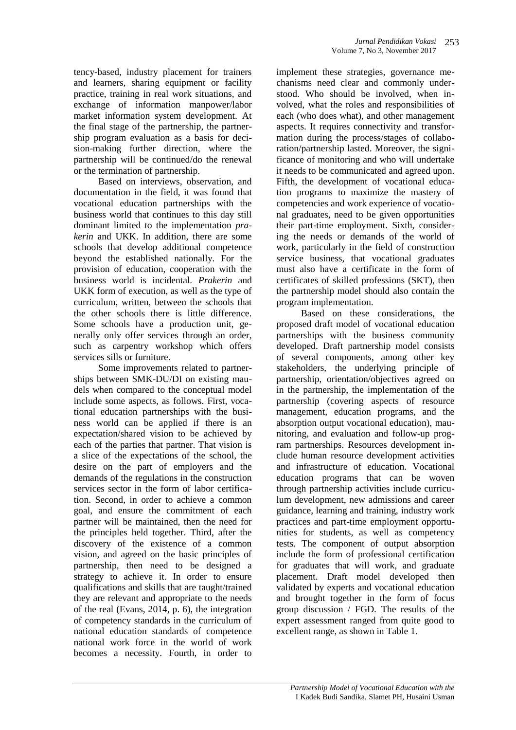tency-based, industry placement for trainers and learners, sharing equipment or facility practice, training in real work situations, and exchange of information manpower/labor market information system development. At the final stage of the partnership, the partnership program evaluation as a basis for decision-making further direction, where the partnership will be continued/do the renewal or the termination of partnership.

Based on interviews, observation, and documentation in the field, it was found that vocational education partnerships with the business world that continues to this day still dominant limited to the implementation *prakerin* and UKK. In addition, there are some schools that develop additional competence beyond the established nationally. For the provision of education, cooperation with the business world is incidental. *Prakerin* and UKK form of execution, as well as the type of curriculum, written, between the schools that the other schools there is little difference. Some schools have a production unit, generally only offer services through an order, such as carpentry workshop which offers services sills or furniture.

Some improvements related to partnerships between SMK-DU/DI on existing maudels when compared to the conceptual model include some aspects, as follows. First, vocational education partnerships with the business world can be applied if there is an expectation/shared vision to be achieved by each of the parties that partner. That vision is a slice of the expectations of the school, the desire on the part of employers and the demands of the regulations in the construction services sector in the form of labor certification. Second, in order to achieve a common goal, and ensure the commitment of each partner will be maintained, then the need for the principles held together. Third, after the discovery of the existence of a common vision, and agreed on the basic principles of partnership, then need to be designed a strategy to achieve it. In order to ensure qualifications and skills that are taught/trained they are relevant and appropriate to the needs of the real (Evans, 2014, p. 6), the integration of competency standards in the curriculum of national education standards of competence national work force in the world of work becomes a necessity. Fourth, in order to

implement these strategies, governance mechanisms need clear and commonly understood. Who should be involved, when involved, what the roles and responsibilities of each (who does what), and other management aspects. It requires connectivity and transformation during the process/stages of collaboration/partnership lasted. Moreover, the significance of monitoring and who will undertake it needs to be communicated and agreed upon. Fifth, the development of vocational education programs to maximize the mastery of competencies and work experience of vocational graduates, need to be given opportunities their part-time employment. Sixth, considering the needs or demands of the world of work, particularly in the field of construction service business, that vocational graduates must also have a certificate in the form of certificates of skilled professions (SKT), then the partnership model should also contain the program implementation.

Based on these considerations, the proposed draft model of vocational education partnerships with the business community developed. Draft partnership model consists of several components, among other key stakeholders, the underlying principle of partnership, orientation/objectives agreed on in the partnership, the implementation of the partnership (covering aspects of resource management, education programs, and the absorption output vocational education), maunitoring, and evaluation and follow-up program partnerships. Resources development include human resource development activities and infrastructure of education. Vocational education programs that can be woven through partnership activities include curriculum development, new admissions and career guidance, learning and training, industry work practices and part-time employment opportunities for students, as well as competency tests. The component of output absorption include the form of professional certification for graduates that will work, and graduate placement. Draft model developed then validated by experts and vocational education and brought together in the form of focus group discussion / FGD. The results of the expert assessment ranged from quite good to excellent range, as shown in Table 1.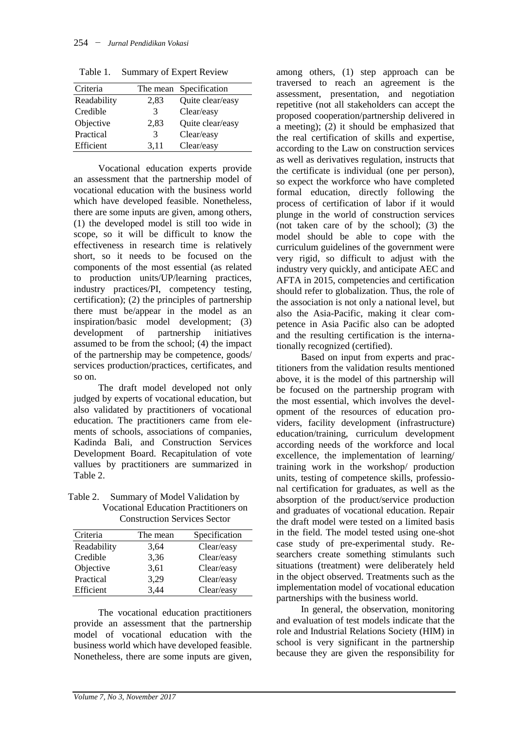| Criteria    |      | The mean Specification |
|-------------|------|------------------------|
| Readability | 2,83 | Quite clear/easy       |
| Credible    | 3    | Clear/easy             |
| Objective   | 2,83 | Quite clear/easy       |
| Practical   | 3    | Clear/easy             |
| Efficient   | 3.11 | Clear/easy             |

Table 1. Summary of Expert Review

Vocational education experts provide an assessment that the partnership model of vocational education with the business world which have developed feasible. Nonetheless, there are some inputs are given, among others, (1) the developed model is still too wide in scope, so it will be difficult to know the effectiveness in research time is relatively short, so it needs to be focused on the components of the most essential (as related to production units/UP/learning practices, industry practices/PI, competency testing, certification); (2) the principles of partnership there must be/appear in the model as an inspiration/basic model development; (3) development of partnership initiatives assumed to be from the school; (4) the impact of the partnership may be competence, goods/ services production/practices, certificates, and so on.

The draft model developed not only judged by experts of vocational education, but also validated by practitioners of vocational education. The practitioners came from elements of schools, associations of companies, Kadinda Bali, and Construction Services Development Board. Recapitulation of vote vallues by practitioners are summarized in Table 2.

Table 2. Summary of Model Validation by Vocational Education Practitioners on Construction Services Sector

| Criteria    | The mean | Specification |
|-------------|----------|---------------|
| Readability | 3,64     | Clear/easy    |
| Credible    | 3,36     | Clear/easy    |
| Objective   | 3,61     | Clear/easy    |
| Practical   | 3,29     | Clear/easy    |
| Efficient   | 3,44     | Clear/easy    |

The vocational education practitioners provide an assessment that the partnership model of vocational education with the business world which have developed feasible. Nonetheless, there are some inputs are given, among others, (1) step approach can be traversed to reach an agreement is the assessment, presentation, and negotiation repetitive (not all stakeholders can accept the proposed cooperation/partnership delivered in a meeting); (2) it should be emphasized that the real certification of skills and expertise, according to the Law on construction services as well as derivatives regulation, instructs that the certificate is individual (one per person), so expect the workforce who have completed formal education, directly following the process of certification of labor if it would plunge in the world of construction services (not taken care of by the school); (3) the model should be able to cope with the curriculum guidelines of the government were very rigid, so difficult to adjust with the industry very quickly, and anticipate AEC and AFTA in 2015, competencies and certification should refer to globalization. Thus, the role of the association is not only a national level, but also the Asia-Pacific, making it clear competence in Asia Pacific also can be adopted and the resulting certification is the internationally recognized (certified).

Based on input from experts and practitioners from the validation results mentioned above, it is the model of this partnership will be focused on the partnership program with the most essential, which involves the development of the resources of education providers, facility development (infrastructure) education/training, curriculum development according needs of the workforce and local excellence, the implementation of learning/ training work in the workshop/ production units, testing of competence skills, professional certification for graduates, as well as the absorption of the product/service production and graduates of vocational education. Repair the draft model were tested on a limited basis in the field. The model tested using one-shot case study of pre-experimental study. Researchers create something stimulants such situations (treatment) were deliberately held in the object observed. Treatments such as the implementation model of vocational education partnerships with the business world.

In general, the observation, monitoring and evaluation of test models indicate that the role and Industrial Relations Society (HIM) in school is very significant in the partnership because they are given the responsibility for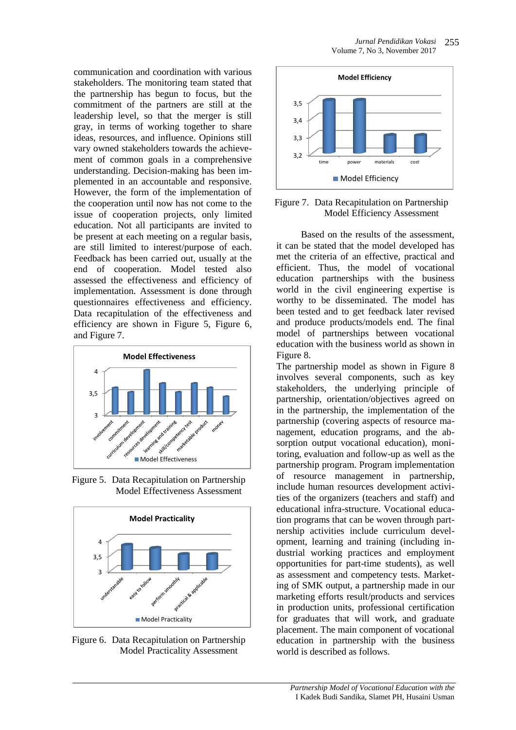communication and coordination with various stakeholders. The monitoring team stated that the partnership has begun to focus, but the commitment of the partners are still at the leadership level, so that the merger is still gray, in terms of working together to share ideas, resources, and influence. Opinions still vary owned stakeholders towards the achievement of common goals in a comprehensive understanding. Decision-making has been implemented in an accountable and responsive. However, the form of the implementation of the cooperation until now has not come to the issue of cooperation projects, only limited education. Not all participants are invited to be present at each meeting on a regular basis, are still limited to interest/purpose of each. Feedback has been carried out, usually at the end of cooperation. Model tested also assessed the effectiveness and efficiency of implementation. Assessment is done through questionnaires effectiveness and efficiency. Data recapitulation of the effectiveness and efficiency are shown in Figure 5, Figure 6, and Figure 7.



Figure 5. Data Recapitulation on Partnership Model Effectiveness Assessment



Figure 6. Data Recapitulation on Partnership Model Practicality Assessment



### Figure 7. Data Recapitulation on Partnership Model Efficiency Assessment

Based on the results of the assessment, it can be stated that the model developed has met the criteria of an effective, practical and efficient. Thus, the model of vocational education partnerships with the business world in the civil engineering expertise is worthy to be disseminated. The model has been tested and to get feedback later revised and produce products/models end. The final model of partnerships between vocational education with the business world as shown in Figure 8.

The partnership model as shown in Figure 8 involves several components, such as key stakeholders, the underlying principle of partnership, orientation/objectives agreed on in the partnership, the implementation of the partnership (covering aspects of resource management, education programs, and the absorption output vocational education), monitoring, evaluation and follow-up as well as the partnership program. Program implementation of resource management in partnership, include human resources development activities of the organizers (teachers and staff) and educational infra-structure. Vocational education programs that can be woven through partnership activities include curriculum development, learning and training (including industrial working practices and employment opportunities for part-time students), as well as assessment and competency tests. Marketing of SMK output, a partnership made in our marketing efforts result/products and services in production units, professional certification for graduates that will work, and graduate placement. The main component of vocational education in partnership with the business world is described as follows.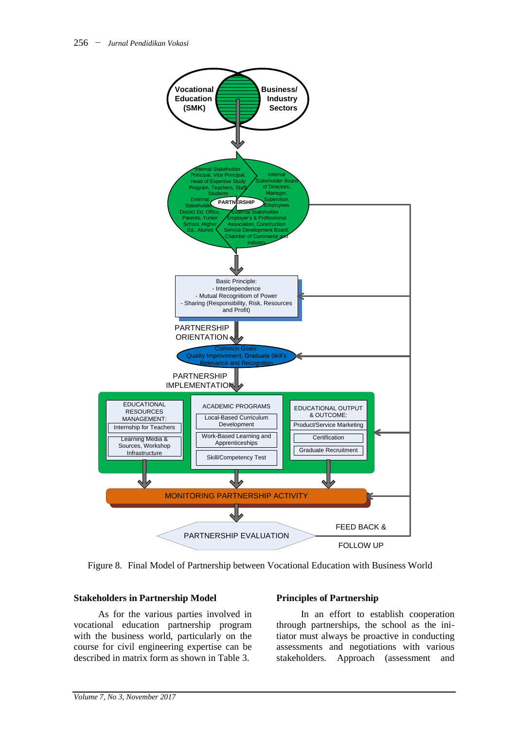

Figure 8. Final Model of Partnership between Vocational Education with Business World

#### **Stakeholders in Partnership Model**

As for the various parties involved in vocational education partnership program with the business world, particularly on the course for civil engineering expertise can be described in matrix form as shown in Table 3.

#### **Principles of Partnership**

In an effort to establish cooperation through partnerships, the school as the initiator must always be proactive in conducting assessments and negotiations with various stakeholders. Approach (assessment and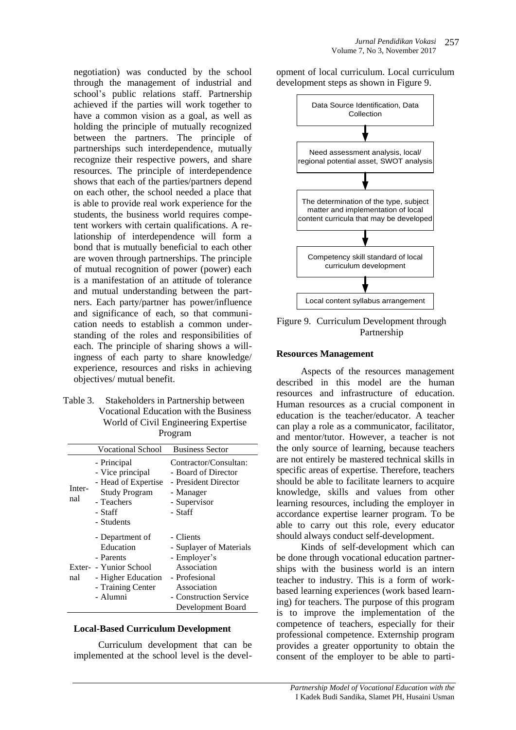negotiation) was conducted by the school through the management of industrial and school's public relations staff. Partnership achieved if the parties will work together to have a common vision as a goal, as well as holding the principle of mutually recognized between the partners. The principle of partnerships such interdependence, mutually recognize their respective powers, and share resources. The principle of interdependence shows that each of the parties/partners depend on each other, the school needed a place that is able to provide real work experience for the students, the business world requires competent workers with certain qualifications. A relationship of interdependence will form a bond that is mutually beneficial to each other are woven through partnerships. The principle of mutual recognition of power (power) each is a manifestation of an attitude of tolerance and mutual understanding between the partners. Each party/partner has power/influence and significance of each, so that communication needs to establish a common understanding of the roles and responsibilities of each. The principle of sharing shows a willingness of each party to share knowledge/ experience, resources and risks in achieving objectives/ mutual benefit.

Table 3. Stakeholders in Partnership between Vocational Education with the Business World of Civil Engineering Expertise Program

|               | <b>Vocational School</b>                                                                                                   | <b>Business Sector</b>                                                                                                                             |
|---------------|----------------------------------------------------------------------------------------------------------------------------|----------------------------------------------------------------------------------------------------------------------------------------------------|
| Inter-<br>nal | - Principal<br>- Vice principal<br>- Head of Expertise<br><b>Study Program</b><br>- Teachers<br>- Staff<br>- Students      | Contractor/Consultan:<br>- Board of Director<br>- President Director<br>- Manager<br>- Supervisor<br>- Staff                                       |
| nal           | - Department of<br>Education<br>- Parents<br>Exter- - Yunior School<br>- Higher Education<br>- Training Center<br>- Alumni | - Clients<br>- Suplayer of Materials<br>- Employer's<br>Association<br>- Profesional<br>Association<br>- Construction Service<br>Development Board |

#### **Local-Based Curriculum Development**

Curriculum development that can be implemented at the school level is the development of local curriculum. Local curriculum development steps as shown in Figure 9.



Figure 9. Curriculum Development through Partnership

#### **Resources Management**

Aspects of the resources management described in this model are the human resources and infrastructure of education. Human resources as a crucial component in education is the teacher/educator. A teacher can play a role as a communicator, facilitator, and mentor/tutor. However, a teacher is not the only source of learning, because teachers are not entirely be mastered technical skills in specific areas of expertise. Therefore, teachers should be able to facilitate learners to acquire knowledge, skills and values from other learning resources, including the employer in accordance expertise learner program. To be able to carry out this role, every educator should always conduct self-development.

Kinds of self-development which can be done through vocational education partnerships with the business world is an intern teacher to industry. This is a form of workbased learning experiences (work based learning) for teachers. The purpose of this program is to improve the implementation of the competence of teachers, especially for their professional competence. Externship program provides a greater opportunity to obtain the consent of the employer to be able to parti-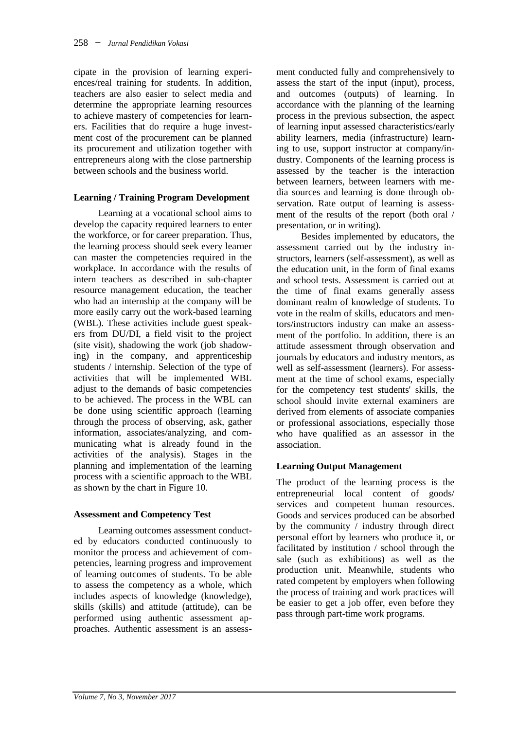cipate in the provision of learning experiences/real training for students. In addition, teachers are also easier to select media and determine the appropriate learning resources to achieve mastery of competencies for learners. Facilities that do require a huge investment cost of the procurement can be planned its procurement and utilization together with entrepreneurs along with the close partnership between schools and the business world.

#### **Learning / Training Program Development**

Learning at a vocational school aims to develop the capacity required learners to enter the workforce, or for career preparation. Thus, the learning process should seek every learner can master the competencies required in the workplace. In accordance with the results of intern teachers as described in sub-chapter resource management education, the teacher who had an internship at the company will be more easily carry out the work-based learning (WBL). These activities include guest speakers from DU/DI, a field visit to the project (site visit), shadowing the work (job shadowing) in the company, and apprenticeship students / internship. Selection of the type of activities that will be implemented WBL adjust to the demands of basic competencies to be achieved. The process in the WBL can be done using scientific approach (learning through the process of observing, ask, gather information, associates/analyzing, and communicating what is already found in the activities of the analysis). Stages in the planning and implementation of the learning process with a scientific approach to the WBL as shown by the chart in Figure 10.

#### **Assessment and Competency Test**

Learning outcomes assessment conducted by educators conducted continuously to monitor the process and achievement of competencies, learning progress and improvement of learning outcomes of students. To be able to assess the competency as a whole, which includes aspects of knowledge (knowledge), skills (skills) and attitude (attitude), can be performed using authentic assessment approaches. Authentic assessment is an assessment conducted fully and comprehensively to assess the start of the input (input), process, and outcomes (outputs) of learning. In accordance with the planning of the learning process in the previous subsection, the aspect of learning input assessed characteristics/early ability learners, media (infrastructure) learning to use, support instructor at company/industry. Components of the learning process is assessed by the teacher is the interaction between learners, between learners with media sources and learning is done through observation. Rate output of learning is assessment of the results of the report (both oral / presentation, or in writing).

Besides implemented by educators, the assessment carried out by the industry instructors, learners (self-assessment), as well as the education unit, in the form of final exams and school tests. Assessment is carried out at the time of final exams generally assess dominant realm of knowledge of students. To vote in the realm of skills, educators and mentors/instructors industry can make an assessment of the portfolio. In addition, there is an attitude assessment through observation and journals by educators and industry mentors, as well as self-assessment (learners). For assessment at the time of school exams, especially for the competency test students' skills, the school should invite external examiners are derived from elements of associate companies or professional associations, especially those who have qualified as an assessor in the association.

#### **Learning Output Management**

The product of the learning process is the entrepreneurial local content of goods/ services and competent human resources. Goods and services produced can be absorbed by the community  $\overline{\ }$  industry through direct personal effort by learners who produce it, or facilitated by institution / school through the sale (such as exhibitions) as well as the production unit. Meanwhile, students who rated competent by employers when following the process of training and work practices will be easier to get a job offer, even before they pass through part-time work programs.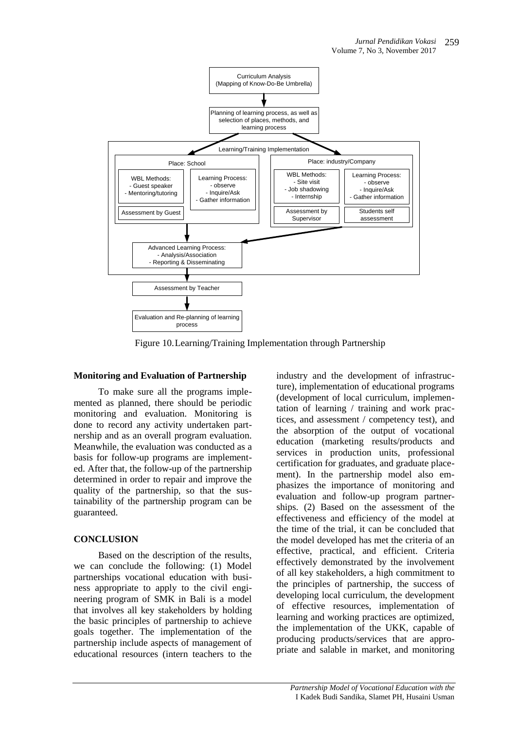

Figure 10.Learning/Training Implementation through Partnership

## **Monitoring and Evaluation of Partnership**

To make sure all the programs implemented as planned, there should be periodic monitoring and evaluation. Monitoring is done to record any activity undertaken partnership and as an overall program evaluation. Meanwhile, the evaluation was conducted as a basis for follow-up programs are implemented. After that, the follow-up of the partnership determined in order to repair and improve the quality of the partnership, so that the sustainability of the partnership program can be guaranteed.

# **CONCLUSION**

Based on the description of the results, we can conclude the following: (1) Model partnerships vocational education with business appropriate to apply to the civil engineering program of SMK in Bali is a model that involves all key stakeholders by holding the basic principles of partnership to achieve goals together. The implementation of the partnership include aspects of management of educational resources (intern teachers to the

industry and the development of infrastructure), implementation of educational programs (development of local curriculum, implementation of learning / training and work practices, and assessment / competency test), and the absorption of the output of vocational education (marketing results/products and services in production units, professional certification for graduates, and graduate placement). In the partnership model also emphasizes the importance of monitoring and evaluation and follow-up program partnerships. (2) Based on the assessment of the effectiveness and efficiency of the model at the time of the trial, it can be concluded that the model developed has met the criteria of an effective, practical, and efficient. Criteria effectively demonstrated by the involvement of all key stakeholders, a high commitment to the principles of partnership, the success of developing local curriculum, the development of effective resources, implementation of learning and working practices are optimized, the implementation of the UKK, capable of producing products/services that are appropriate and salable in market, and monitoring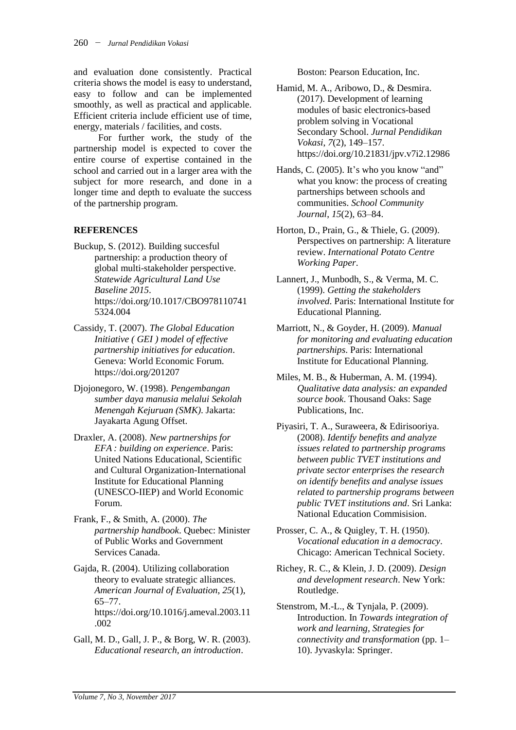and evaluation done consistently. Practical criteria shows the model is easy to understand, easy to follow and can be implemented smoothly, as well as practical and applicable. Efficient criteria include efficient use of time, energy, materials / facilities, and costs.

For further work, the study of the partnership model is expected to cover the entire course of expertise contained in the school and carried out in a larger area with the subject for more research, and done in a longer time and depth to evaluate the success of the partnership program.

### **REFERENCES**

- Buckup, S. (2012). Building succesful partnership: a production theory of global multi-stakeholder perspective. *Statewide Agricultural Land Use Baseline 2015*. https://doi.org/10.1017/CBO978110741 5324.004
- Cassidy, T. (2007). *The Global Education Initiative ( GEI ) model of effective partnership initiatives for education*. Geneva: World Economic Forum. https://doi.org/201207
- Djojonegoro, W. (1998). *Pengembangan sumber daya manusia melalui Sekolah Menengah Kejuruan (SMK)*. Jakarta: Jayakarta Agung Offset.
- Draxler, A. (2008). *New partnerships for EFA : building on experience*. Paris: United Nations Educational, Scientific and Cultural Organization-International Institute for Educational Planning (UNESCO-IIEP) and World Economic Forum.
- Frank, F., & Smith, A. (2000). *The partnership handbook*. Quebec: Minister of Public Works and Government Services Canada.
- Gajda, R. (2004). Utilizing collaboration theory to evaluate strategic alliances. *American Journal of Evaluation*, *25*(1), 65–77. https://doi.org/10.1016/j.ameval.2003.11 .002
- Gall, M. D., Gall, J. P., & Borg, W. R. (2003). *Educational research, an introduction*.

Boston: Pearson Education, Inc.

- Hamid, M. A., Aribowo, D., & Desmira. (2017). Development of learning modules of basic electronics-based problem solving in Vocational Secondary School. *Jurnal Pendidikan Vokasi*, *7*(2), 149–157. https://doi.org/10.21831/jpv.v7i2.12986
- Hands, C. (2005). It's who you know "and" what you know: the process of creating partnerships between schools and communities. *School Community Journal*, *15*(2), 63–84.
- Horton, D., Prain, G., & Thiele, G. (2009). Perspectives on partnership: A literature review. *International Potato Centre Working Paper*.
- Lannert, J., Munbodh, S., & Verma, M. C. (1999). *Getting the stakeholders involved*. Paris: International Institute for Educational Planning.
- Marriott, N., & Goyder, H. (2009). *Manual for monitoring and evaluating education partnerships*. Paris: International Institute for Educational Planning.
- Miles, M. B., & Huberman, A. M. (1994). *Qualitative data analysis: an expanded source book*. Thousand Oaks: Sage Publications, Inc.
- Piyasiri, T. A., Suraweera, & Edirisooriya. (2008). *Identify benefits and analyze issues related to partnership programs between public TVET institutions and private sector enterprises the research on identify benefits and analyse issues related to partnership programs between public TVET institutions and*. Sri Lanka: National Education Commisision.
- Prosser, C. A., & Quigley, T. H. (1950). *Vocational education in a democracy*. Chicago: American Technical Society.
- Richey, R. C., & Klein, J. D. (2009). *Design and development research*. New York: Routledge.
- Stenstrom, M.-L., & Tynjala, P. (2009). Introduction. In *Towards integration of work and learning, Strategies for connectivity and transformation* (pp. 1– 10). Jyvaskyla: Springer.